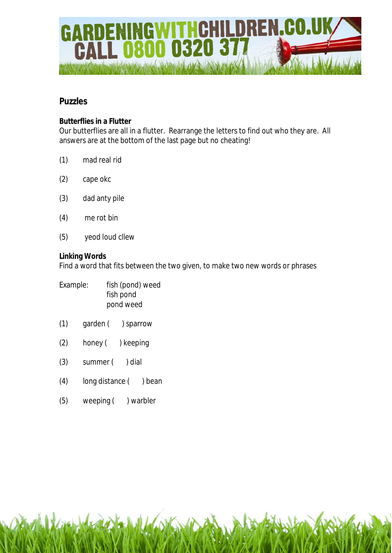

# **Puzzles**

# **Butterflies in a Flutter**

Our butterflies are all in a flutter. Rearrange the letters to find out who they are. All answers are at the bottom of the last page but no cheating!

- (1) mad real rid
- (2) cape okc
- (3) dad anty pile
- (4) me rot bin
- (5) yeod loud cllew

#### **Linking Words**

Find a word that fits between the two given, to make two new words or phrases

| Example: | fish (pond) weed |
|----------|------------------|
|          | fish pond        |
|          | pond weed        |

- (1) garden ( ) sparrow
- (2) honey ( ) keeping
- (3) summer ( ) dial
- (4) long distance ( ) bean
- (5) weeping ( ) warbler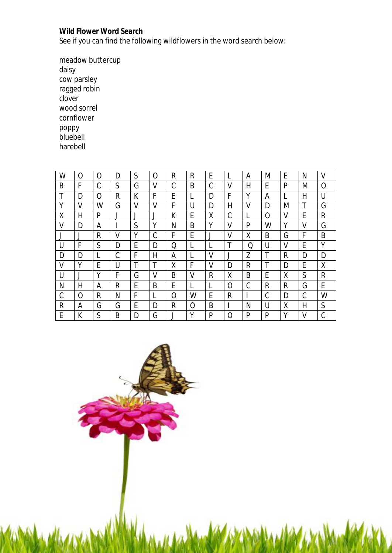## **Wild Flower Word Search**

See if you can find the following wildflowers in the word search below:

meadow buttercup daisy cow parsley ragged robin clover wood sorrel cornflower poppy bluebell harebell

| W | O            | O | D | S | Ω | $\mathsf{R}$ | R      | E |   | A | M | E | N | V            |
|---|--------------|---|---|---|---|--------------|--------|---|---|---|---|---|---|--------------|
| B | F            | C | S | G | V | C            | B      | C | V | H | E | P | M | Ω            |
| Τ | D            | O | R | К | F | E            |        | D | F | Υ | Α |   | Η | U            |
| Υ | V            | W | G | V | V | F            | U      | D | Н | V | D | M | T | G            |
| X | $\mathsf{H}$ | P |   |   |   | K            | E      | X | C |   | 0 | V | E | R            |
| V | D            | Α |   | S | Υ | N            | B      | Υ | V | P | W | Υ | ۷ | G            |
|   | J            | R | V | Υ | C | F            | E      |   | V | X | B | G | F | B            |
| U | F            | S | D | E | D | Q            |        |   | Τ | Q | U | V | E | Υ            |
| D | D            | L | C | F | Н | А            |        | V | J | Z | T | R | D | D            |
| V | Υ            | E | U | Τ | T | Χ            | F      | ٧ | D | R | T | D | E | χ            |
| U | $\cdot$      | Υ | F | G | V | B            | V      | R | Χ | B | E | X | S | R            |
| N | Н            | A | R | E | B | E            |        |   | O | С | R | R | G | E            |
| C | $\Omega$     | R | Ν | F |   | O            | W      | E | R |   | C | D | C | W            |
| R | A            | G | G | E | D | $\mathsf{R}$ | 0      | B |   | N | U | X | H | $\mathsf{S}$ |
| E | К            | S | B | D | G |              | $\vee$ | P | O | P | P | Υ | V | C            |

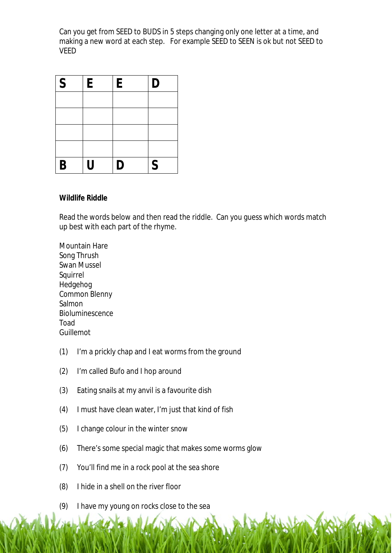Can you get from SEED to BUDS in 5 steps changing only one letter at a time, and making a new word at each step. For example SEED to SEEN is ok but not SEED to VEED

| $\vert S$   | E | E | D           |
|-------------|---|---|-------------|
|             |   |   |             |
|             |   |   |             |
|             |   |   |             |
|             |   |   |             |
| $\mathbf B$ | U | D | $\mathsf S$ |

#### **Wildlife Riddle**

Read the words below and then read the riddle. Can you guess which words match up best with each part of the rhyme.

Mountain Hare Song Thrush Swan Mussel Squirrel Hedgehog Common Blenny Salmon Bioluminescence Toad Guillemot

- (1) I'm a prickly chap and I eat worms from the ground
- (2) I'm called Bufo and I hop around
- (3) Eating snails at my anvil is a favourite dish
- (4) I must have clean water, I'm just that kind of fish
- (5) I change colour in the winter snow
- (6) There's some special magic that makes some worms glow
- (7) You'll find me in a rock pool at the sea shore
- (8) I hide in a shell on the river floor
- (9) I have my young on rocks close to the sea